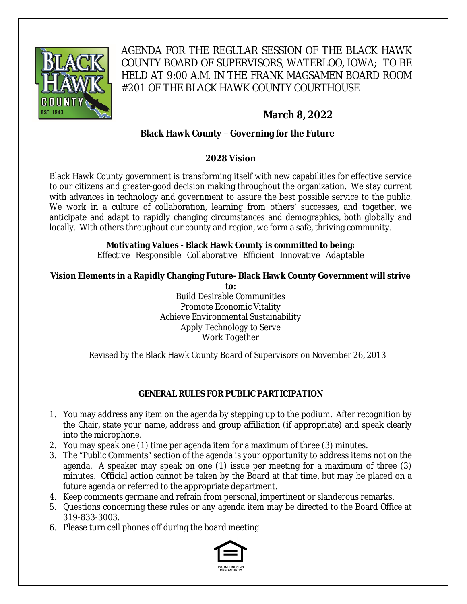

AGENDA FOR THE REGULAR SESSION OF THE BLACK HAWK COUNTY BOARD OF SUPERVISORS, WATERLOO, IOWA; TO BE HELD AT 9:00 A.M. IN THE FRANK MAGSAMEN BOARD ROOM #201 OF THE BLACK HAWK COUNTY COURTHOUSE

# **March 8, 2022**

## **Black Hawk County – Governing for the Future**

## **2028 Vision**

Black Hawk County government is transforming itself with new capabilities for effective service to our citizens and greater-good decision making throughout the organization. We stay current with advances in technology and government to assure the best possible service to the public. We work in a culture of collaboration, learning from others' successes, and together, we anticipate and adapt to rapidly changing circumstances and demographics, both globally and locally. With others throughout our county and region, we form a safe, thriving community.

# **Motivating Values - Black Hawk County is committed to being:**

Effective Responsible Collaborative Efficient Innovative Adaptable

## **Vision Elements in a Rapidly Changing Future- Black Hawk County Government will strive**

**to:** Build Desirable Communities Promote Economic Vitality Achieve Environmental Sustainability Apply Technology to Serve Work Together

Revised by the Black Hawk County Board of Supervisors on November 26, 2013

## **GENERAL RULES FOR PUBLIC PARTICIPATION**

- 1. You may address any item on the agenda by stepping up to the podium. After recognition by the Chair, state your name, address and group affiliation (if appropriate) and speak clearly into the microphone.
- 2. You may speak one (1) time per agenda item for a maximum of three (3) minutes.
- 3. The "Public Comments" section of the agenda is your opportunity to address items not on the agenda. A speaker may speak on one (1) issue per meeting for a maximum of three (3) minutes. Official action cannot be taken by the Board at that time, but may be placed on a future agenda or referred to the appropriate department.
- 4. Keep comments germane and refrain from personal, impertinent or slanderous remarks.
- 5. Questions concerning these rules or any agenda item may be directed to the Board Office at 319-833-3003.
- 6. Please turn cell phones off during the board meeting.

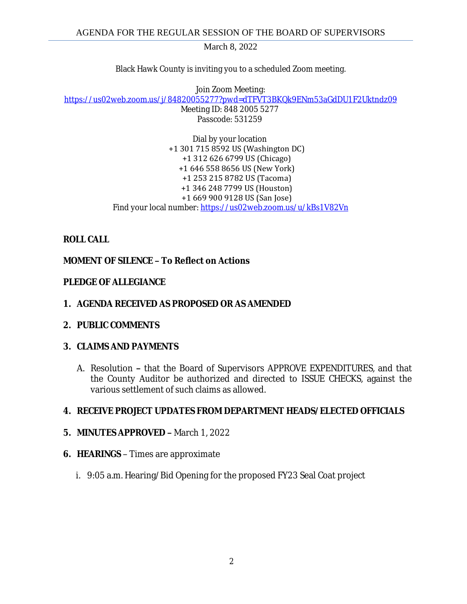Black Hawk County is inviting you to a scheduled Zoom meeting.

Join Zoom Meeting: [https://us02web.zoom.us/j/84820055277?pwd=dTFVT3BKQk9ENm53aGdDU1F2Uktndz09](https://gcc02.safelinks.protection.outlook.com/?url=https%3A%2F%2Fus02web.zoom.us%2Fj%2F84820055277%3Fpwd%3DdTFVT3BKQk9ENm53aGdDU1F2Uktndz09&data=04%7C01%7Ckzwanziger%40blackhawkcounty.iowa.gov%7Cd1e196df830b497a115b08d9fe1acfff%7C9960f5b6faae4bb3a122c43aceeaa06d%7C0%7C0%7C637820213383313216%7CUnknown%7CTWFpbGZsb3d8eyJWIjoiMC4wLjAwMDAiLCJQIjoiV2luMzIiLCJBTiI6Ik1haWwiLCJXVCI6Mn0%3D%7C3000&sdata=icjpkG2Y1ND56llmVwxitAxMAvS0r1tiqS1HNdr07Zc%3D&reserved=0) Meeting ID: 848 2005 5277

Passcode: 531259

Dial by your location +1 301 715 8592 US (Washington DC) +1 312 626 6799 US (Chicago) +1 646 558 8656 US (New York) +1 253 215 8782 US (Tacoma) +1 346 248 7799 US (Houston) +1 669 900 9128 US (San Jose) Find your local number: [https://us02web.zoom.us/u/kBs1V82Vn](https://gcc02.safelinks.protection.outlook.com/?url=https%3A%2F%2Fus02web.zoom.us%2Fu%2FkBs1V82Vn&data=04%7C01%7Ckzwanziger%40blackhawkcounty.iowa.gov%7Cd1e196df830b497a115b08d9fe1acfff%7C9960f5b6faae4bb3a122c43aceeaa06d%7C0%7C0%7C637820213383313216%7CUnknown%7CTWFpbGZsb3d8eyJWIjoiMC4wLjAwMDAiLCJQIjoiV2luMzIiLCJBTiI6Ik1haWwiLCJXVCI6Mn0%3D%7C3000&sdata=jTDULcKMFmWxBsWpmz%2FdSqYbrXXCC8ZHJgF2%2F5kKoIA%3D&reserved=0)

## **ROLL CALL**

## **MOMENT OF SILENCE – To Reflect on Actions**

#### **PLEDGE OF ALLEGIANCE**

- **1. AGENDA RECEIVED AS PROPOSED OR AS AMENDED**
- **2. PUBLIC COMMENTS**

#### **3. CLAIMS AND PAYMENTS**

A. Resolution **–** that the Board of Supervisors APPROVE EXPENDITURES, and that the County Auditor be authorized and directed to ISSUE CHECKS, against the various settlement of such claims as allowed.

## **4. RECEIVE PROJECT UPDATES FROM DEPARTMENT HEADS/ELECTED OFFICIALS**

#### **5. MINUTES APPROVED –** March 1, 2022

- **6. HEARINGS**  Times are approximate
	- i. 9:05 a.m. Hearing/Bid Opening for the proposed FY23 Seal Coat project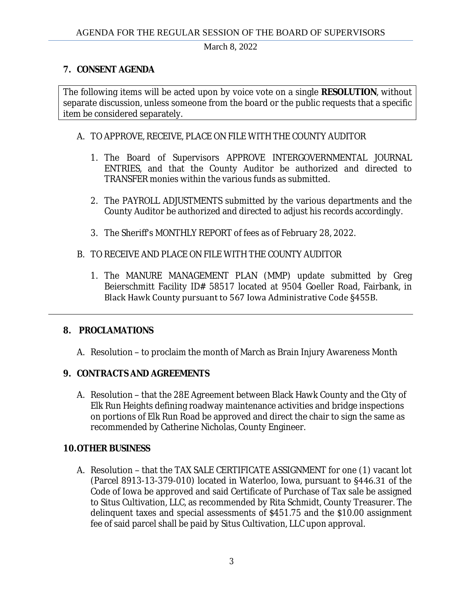## **7. CONSENT AGENDA**

The following items will be acted upon by voice vote on a single **RESOLUTION**, without separate discussion, unless someone from the board or the public requests that a specific item be considered separately.

#### A. TO APPROVE, RECEIVE, PLACE ON FILE WITH THE COUNTY AUDITOR

- 1. The Board of Supervisors APPROVE INTERGOVERNMENTAL JOURNAL ENTRIES, and that the County Auditor be authorized and directed to TRANSFER monies within the various funds as submitted.
- 2. The PAYROLL ADJUSTMENTS submitted by the various departments and the County Auditor be authorized and directed to adjust his records accordingly.
- 3. The Sheriff's MONTHLY REPORT of fees as of February 28, 2022.
- B. TO RECEIVE AND PLACE ON FILE WITH THE COUNTY AUDITOR
	- 1. The MANURE MANAGEMENT PLAN (MMP) update submitted by Greg Beierschmitt Facility ID# 58517 located at 9504 Goeller Road, Fairbank, in Black Hawk County pursuant to 567 Iowa Administrative Code §455B.

## **8. PROCLAMATIONS**

A. Resolution – to proclaim the month of March as Brain Injury Awareness Month

## **9. CONTRACTS AND AGREEMENTS**

A. Resolution – that the 28E Agreement between Black Hawk County and the City of Elk Run Heights defining roadway maintenance activities and bridge inspections on portions of Elk Run Road be approved and direct the chair to sign the same as recommended by Catherine Nicholas, County Engineer.

## **10.OTHER BUSINESS**

A. Resolution – that the TAX SALE CERTIFICATE ASSIGNMENT for one (1) vacant lot (Parcel 8913-13-379-010) located in Waterloo, Iowa, pursuant to §446.31 of the Code of Iowa be approved and said Certificate of Purchase of Tax sale be assigned to Situs Cultivation, LLC, as recommended by Rita Schmidt, County Treasurer. The delinquent taxes and special assessments of \$451.75 and the \$10.00 assignment fee of said parcel shall be paid by Situs Cultivation, LLC upon approval.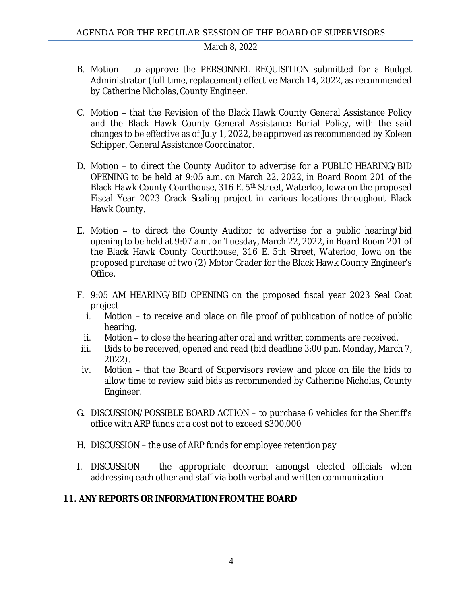- B. Motion to approve the PERSONNEL REQUISITION submitted for a Budget Administrator (full-time, replacement) effective March 14, 2022, as recommended by Catherine Nicholas, County Engineer.
- C. Motion that the Revision of the Black Hawk County General Assistance Policy and the Black Hawk County General Assistance Burial Policy, with the said changes to be effective as of July 1, 2022, be approved as recommended by Koleen Schipper, General Assistance Coordinator.
- D. Motion to direct the County Auditor to advertise for a PUBLIC HEARING/BID OPENING to be held at 9:05 a.m. on March 22, 2022, in Board Room 201 of the Black Hawk County Courthouse, 316 E. 5<sup>th</sup> Street, Waterloo, Iowa on the proposed Fiscal Year 2023 Crack Sealing project in various locations throughout Black Hawk County.
- E. Motion to direct the County Auditor to advertise for a public hearing/bid opening to be held at 9:07 a.m. on Tuesday, March 22, 2022, in Board Room 201 of the Black Hawk County Courthouse, 316 E. 5th Street, Waterloo, Iowa on the proposed purchase of two (2) Motor Grader for the Black Hawk County Engineer's Office.
- F. 9:05 AM HEARING/BID OPENING on the proposed fiscal year 2023 Seal Coat project
	- i. Motion to receive and place on file proof of publication of notice of public hearing.
	- ii. Motion to close the hearing after oral and written comments are received.
- iii. Bids to be received, opened and read (bid deadline 3:00 p.m. Monday, March 7, 2022).
- iv. Motion that the Board of Supervisors review and place on file the bids to allow time to review said bids as recommended by Catherine Nicholas, County Engineer.
- G. DISCUSSION/POSSIBLE BOARD ACTION to purchase 6 vehicles for the Sheriff's office with ARP funds at a cost not to exceed \$300,000
- H. DISCUSSION the use of ARP funds for employee retention pay
- I. DISCUSSION the appropriate decorum amongst elected officials when addressing each other and staff via both verbal and written communication

## **11. ANY REPORTS OR INFORMATION FROM THE BOARD**